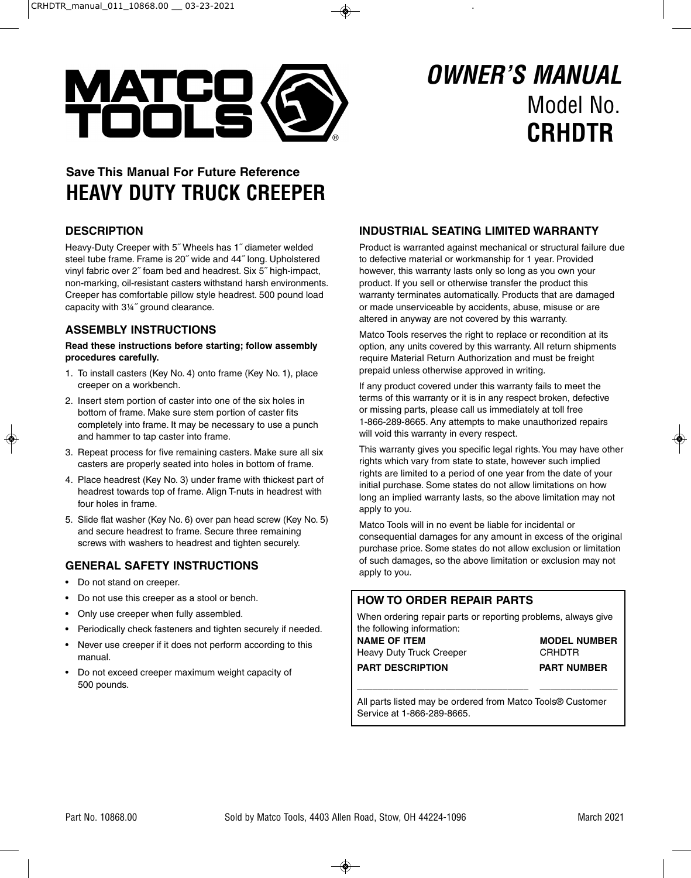

# Model No. **CRHDTR OWNER'S MANUAL**

# **Save This Manual For Future Reference HEAVY DUTY TRUCK CREEPER**

# **DESCRIPTION**

Heavy-Duty Creeper with 5˝ Wheels has 1˝ diameter welded steel tube frame. Frame is 20˝ wide and 44˝ long. Upholstered vinyl fabric over 2˝ foam bed and headrest. Six 5˝ high-impact, non-marking, oil-resistant casters withstand harsh environments. Creeper has comfortable pillow style headrest. 500 pound load capacity with 3¼˝ ground clearance.

### **ASSEMBLY INSTRUCTIONS**

#### **Read these instructions before starting; follow assembly procedures carefully.**

- 1. To install casters (Key No. 4) onto frame (Key No. 1), place creeper on a workbench.
- 2. Insert stem portion of caster into one of the six holes in bottom of frame. Make sure stem portion of caster fits completely into frame. It may be necessary to use a punch and hammer to tap caster into frame.
- 3. Repeat process for five remaining casters. Make sure all six casters are properly seated into holes in bottom of frame.
- 4. Place headrest (Key No. 3) under frame with thickest part of headrest towards top of frame. Align T-nuts in headrest with four holes in frame.
- 5. Slide flat washer (Key No. 6) over pan head screw (Key No. 5) and secure headrest to frame. Secure three remaining screws with washers to headrest and tighten securely.

# **GENERAL SAFETY INSTRUCTIONS**

- Do not stand on creeper.
- Do not use this creeper as a stool or bench.
- Only use creeper when fully assembled.
- Periodically check fasteners and tighten securely if needed.
- Never use creeper if it does not perform according to this manual.
- Do not exceed creeper maximum weight capacity of 500 pounds.

# **INDUSTRIAL SEATING LIMITED WARRANTY**

Product is warranted against mechanical or structural failure due to defective material or workmanship for 1 year. Provided however, this warranty lasts only so long as you own your product. If you sell or otherwise transfer the product this warranty terminates automatically. Products that are damaged or made unserviceable by accidents, abuse, misuse or are altered in anyway are not covered by this warranty.

Matco Tools reserves the right to replace or recondition at its option, any units covered by this warranty. All return shipments require Material Return Authorization and must be freight prepaid unless otherwise approved in writing.

If any product covered under this warranty fails to meet the terms of this warranty or it is in any respect broken, defective or missing parts, please call us immediately at toll free 1-866-289-8665. Any attempts to make unauthorized repairs will void this warranty in every respect.

This warranty gives you specific legal rights. You may have other rights which vary from state to state, however such implied rights are limited to a period of one year from the date of your initial purchase. Some states do not allow limitations on how long an implied warranty lasts, so the above limitation may not apply to you.

Matco Tools will in no event be liable for incidental or consequential damages for any amount in excess of the original purchase price. Some states do not allow exclusion or limitation of such damages, so the above limitation or exclusion may not apply to you.

### **HOW TO ORDER REPAIR PARTS**

When ordering repair parts or reporting problems, always give the following information:

**NAME OF ITEM MODEL NUMBER** Heavy Duty Truck Creeper **CRHDTR PART DESCRIPTION PART NUMBER** 

All parts listed may be ordered from Matco Tools® Customer Service at 1-866-289-8665.

**\_\_\_\_\_\_\_\_\_\_\_\_\_\_\_\_\_\_\_\_\_\_\_\_\_\_\_\_\_\_\_\_\_ \_\_\_\_\_\_\_\_\_\_\_\_\_\_\_**